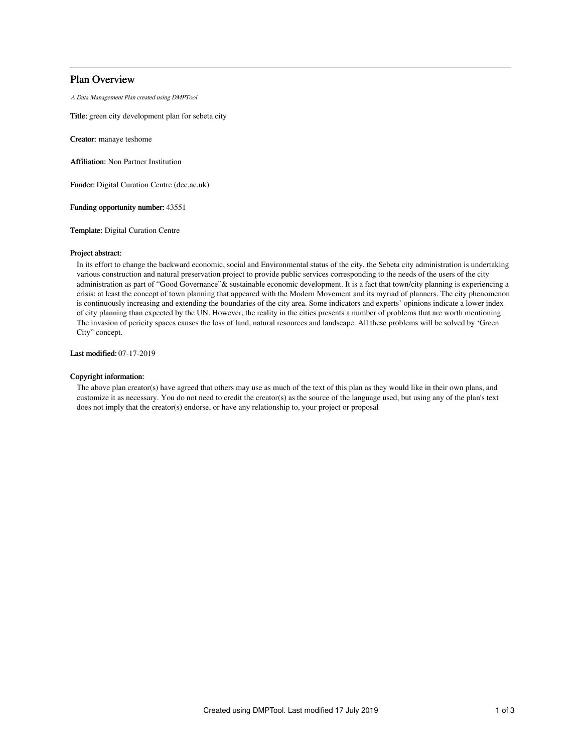# Plan Overview

A Data Management Plan created using DMPTool

Title: green city development plan for sebeta city

Creator: manaye teshome

Affiliation: Non Partner Institution

Funder: Digital Curation Centre (dcc.ac.uk)

Funding opportunity number: 43551

Template: Digital Curation Centre

## Project abstract:

In its effort to change the backward economic, social and Environmental status of the city, the Sebeta city administration is undertaking various construction and natural preservation project to provide public services corresponding to the needs of the users of the city administration as part of "Good Governance"& sustainable economic development. It is a fact that town/city planning is experiencing a crisis; at least the concept of town planning that appeared with the Modern Movement and its myriad of planners. The city phenomenon is continuously increasing and extending the boundaries of the city area. Some indicators and experts' opinions indicate a lower index of city planning than expected by the UN. However, the reality in the cities presents a number of problems that are worth mentioning. The invasion of pericity spaces causes the loss of land, natural resources and landscape. All these problems will be solved by 'Green City" concept.

Last modified: 07-17-2019

## Copyright information:

The above plan creator(s) have agreed that others may use as much of the text of this plan as they would like in their own plans, and customize it as necessary. You do not need to credit the creator(s) as the source of the language used, but using any of the plan's text does not imply that the creator(s) endorse, or have any relationship to, your project or proposal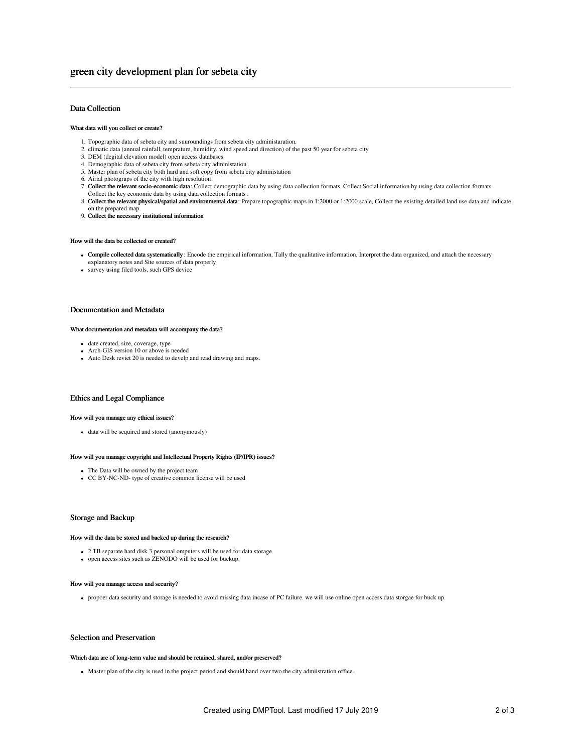## Data Collection

### What data will you collect or create?

- 1. Topographic data of sebeta city and suuroundings from sebeta city administaration.
- 2. climatic data (annual rainfall, temprature, humidity, wind speed and direction) of the past 50 year for sebeta city
- 3. DEM (degital elevation model) open access databases
- 4. Demographic data of sebeta city from sebeta city administation
- 5. Master plan of sebeta city both hard and soft copy from sebeta city administation
- 6. Airial photograps of the city with high resolution
- 7. Collect the relevant socio-economic data : Collect demographic data by using data collection formats, Collect Social information by using data collection formats Collect the key economic data by using data collection formats .
- 8. Collect the relevant physical/spatial and environmental data: Prepare topographic maps in 1:2000 or 1:2000 scale, Collect the existing detailed land use data and indicate on the prepared map.
- 9. Collect the necessary institutional information

#### How will the data be collected or created?

- Compile collected data systematically : Encode the empirical information, Tally the qualitative information, Interpret the data organized, and attach the necessary explanatory notes and Site sources of data properly
- survey using filed tools, such GPS device

## Documentation and Metadata

#### What documentation and metadata will accompany the data?

- date created, size, coverage, type
- Arch-GIS version 10 or above is needed Auto Desk reviet 20 is needed to develp and read drawing and maps.

## Ethics and Legal Compliance

#### How will you manage any ethical issues?

data will be sequired and stored (anonymously)

#### How will you manage copyright and Intellectual Property Rights (IP/IPR) issues?

- The Data will be owned by the project team
- CC BY-NC-ND- type of creative common license will be used

## Storage and Backup

#### How will the data be stored and backed up during the research?

- 2 TB separate hard disk 3 personal omputers will be used for data storage
- open access sites such as ZENODO will be used for buckup.

#### How will you manage access and security?

propoer data security and storage is needed to avoid missing data incase of PC failure. we will use online open access data storgae for buck up.

## Selection and Preservation

## Which data are of long-term value and should be retained, shared, and/or preserved?

Master plan of the city is used in the project period and should hand over two the city admiistration office.